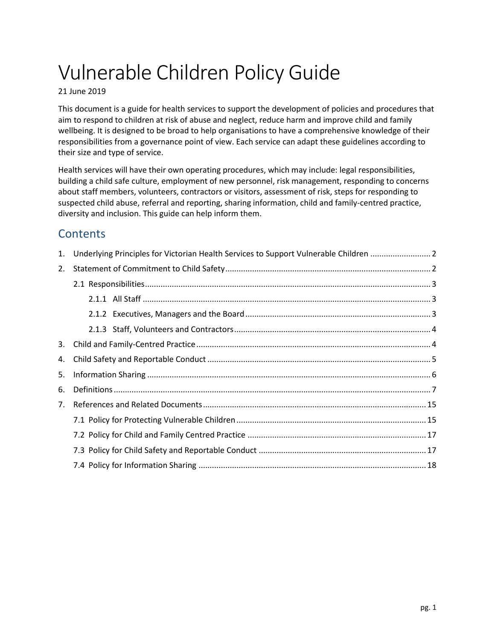# Vulnerable Children Policy Guide

#### 21 June 2019

This document is a guide for health services to support the development of policies and procedures that aim to respond to children at risk of abuse and neglect, reduce harm and improve child and family wellbeing. It is designed to be broad to help organisations to have a comprehensive knowledge of their responsibilities from a governance point of view. Each service can adapt these guidelines according to their size and type of service.

Health services will have their own operating procedures, which may include: legal responsibilities, building a child safe culture, employment of new personnel, risk management, responding to concerns about staff members, volunteers, contractors or visitors, assessment of risk, steps for responding to suspected child abuse, referral and reporting, sharing information, child and family-centred practice, diversity and inclusion. This guide can help inform them.

## **Contents**

| 1. | Underlying Principles for Victorian Health Services to Support Vulnerable Children |  |
|----|------------------------------------------------------------------------------------|--|
| 2. |                                                                                    |  |
|    |                                                                                    |  |
|    |                                                                                    |  |
|    |                                                                                    |  |
|    |                                                                                    |  |
| 3. |                                                                                    |  |
| 4. |                                                                                    |  |
| 5. |                                                                                    |  |
| 6. |                                                                                    |  |
| 7. |                                                                                    |  |
|    |                                                                                    |  |
|    |                                                                                    |  |
|    |                                                                                    |  |
|    |                                                                                    |  |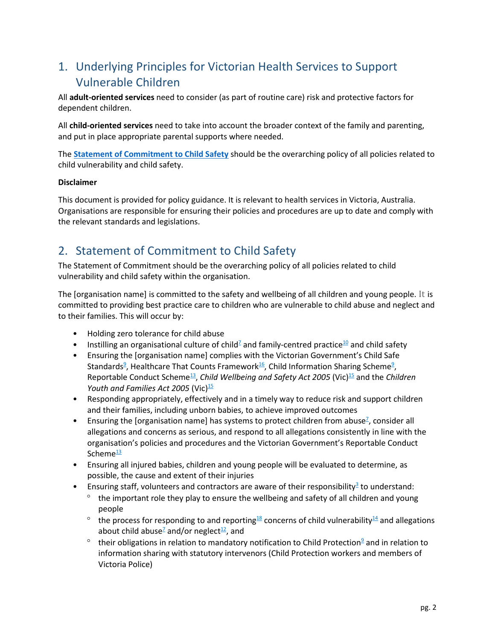# <span id="page-1-0"></span>1. Underlying Principles for Victorian Health Services to Support Vulnerable Children

All **adult-oriented services** need to consider (as part of routine care) risk and protective factors for dependent children.

All **child-oriented services** need to take into account the broader context of the family and parenting, and put in place appropriate parental supports where needed.

The **[Statement of Commitment](#page-1-1) to Child Safety** should be the overarching policy of all policies related to child vulnerability and child safety.

#### **Disclaimer**

This document is provided for policy guidance. It is relevant to health services in Victoria, Australia. Organisations are responsible for ensuring their policies and procedures are up to date and comply with the relevant standards and legislations.

# <span id="page-1-1"></span>2. Statement of Commitment to Child Safety

The Statement of Commitment should be the overarching policy of all policies related to child vulnerability and child safety within the organisation.

The [organisation name] is committed to the safety and wellbeing of all children and young people. It is committed to providing best practice care to children who are vulnerable to child abuse and neglect and to their families. This will occur by:

- Holding zero tolerance for child abuse
- Instilling an organisational culture of child<sup>[7](#page-6-1)</sup> and family-centred practice<sup>[10](#page-9-0)</sup> and child safety
- Ensuring the [organisation name] complies with the Victorian Government's Child Safe Standard[s](#page-8-0)<sup>9</sup>, Healthcare That Counts Framework<sup>[16](#page-15-0)</sup>, Child Information Sharing Sch[e](#page-8-1)me<sup>9</sup>, Reportable Conduct Scheme<sup>[13](#page-12-0)</sup>, *Child Wellbeing and Safety Act 2005* (Vic)<sup>[15](#page-14-2)</sup> and the *Children Youth and Families Act 2005* (Vic)<sup>[15](#page-14-3)</sup>
- Responding appropriately, effectively and in a timely way to reduce risk and support children and their families, including unborn babies, to achieve improved outcomes
- **•** Ensuring th[e](#page-6-2) [organisation name] has systems to protect children from abuse<sup> $7$ </sup>, consider all allegations and concerns as serious, and respond to all allegations consistently in line with the organisation's policies and procedures and the Victorian Government's Reportable Conduct Scheme $\frac{13}{2}$  $\frac{13}{2}$  $\frac{13}{2}$
- Ensuring all injured babies, children and young people will be evaluated to determine, as possible, the cause and extent of their injuries
- **•** Ensuring staff, volunteers and contractors are aware of their responsibility<sup>[3](#page-2-0)</sup> to understand:
	- $\degree$  the important role they play to ensure the wellbeing and safety of all children and young people
	- <sup>o</sup> the process for responding to and reporting<sup>[18](#page-17-1)</sup> concerns of child vulnerability<sup>[14](#page-13-0)</sup> and allegations about child abuse<sup> $2$ </sup> and/or neglect<sup>[12](#page-11-0)</sup>, and
	- $\degree$  their obligatio[n](#page-8-2)s in relation to mandatory notification to Child Protection $\degree$  and in relation to information sharing with statutory intervenors (Child Protection workers and members of Victoria Police)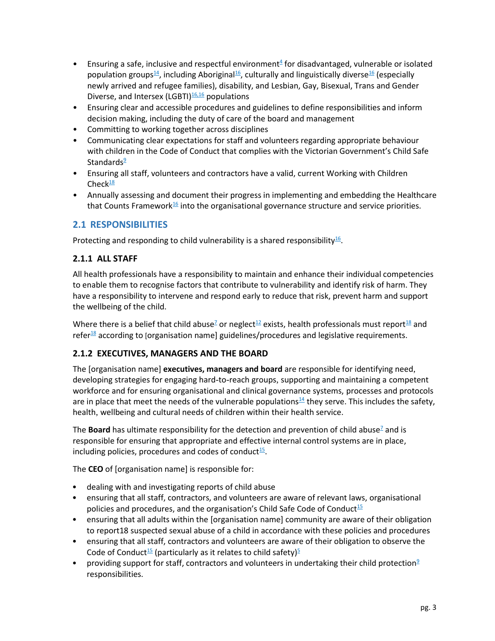- Ensuring a safe, inclusive and respectful environment<sup>[4](#page-3-1)</sup> for disadvantaged, vulnerable or isolated population groups<sup>[14](#page-13-1)</sup>, including Aboriginal<sup>[16](#page-15-0)</sup>, culturally and linguistically diverse<sup>16</sup> (especially newly arrived and refugee families), disability, and Lesbian, Gay, Bisexual, Trans and Gender Diverse, and Intersex (LGBTI) $16,16$  $16,16$  populations
- Ensuring clear and accessible procedures and guidelines to define responsibilities and inform decision making, including the duty of care of the board and management
- Committing to working together across disciplines
- Communicating clear expectations for staff and volunteers regarding appropriate behaviour with children in the Code of Conduct that complies with the Victorian Government's Child Safe Standard[s](#page-8-0)<sup>9</sup>
- Ensuring all staff, volunteers and contractors have a valid, current Working with Children Check $\frac{18}{1}$  $\frac{18}{1}$  $\frac{18}{1}$
- Annually assessing and document their progress in implementing and embedding the Healthcare that Counts Framework $16$  into the organisational governance structure and service priorities.

### <span id="page-2-0"></span>**2.1 RESPONSIBILITIES**

Protecting and responding to child vulnerability is a shared responsibility $^{16}$  $^{16}$  $^{16}$ .

### <span id="page-2-1"></span>**2.1.1 ALL STAFF**

All health professionals have a responsibility to maintain and enhance their individual competencies to enable them to recognise factors that contribute to vulnerability and identify risk of harm. They have a responsibility to intervene and respond early to reduce that risk, prevent harm and support the wellbeing of the child.

Where there is a belief that child abuse<sup>[7](#page-6-2)</sup> or neglect<sup>[12](#page-11-0)</sup> exists, health professionals must report<sup>[18](#page-17-3)</sup> and refer $^{18}$  $^{18}$  $^{18}$  according to [organisation name] guidelines/procedures and legislative requirements.

### <span id="page-2-2"></span>**2.1.2 EXECUTIVES, MANAGERS AND THE BOARD**

The [organisation name] **executives, managers and board** are responsible for identifying need, developing strategies for engaging hard-to-reach groups, supporting and maintaining a competent workforce and for ensuring organisational and clinical governance systems, processes and protocols are in place that meet the needs of the vulnerable populations $\frac{14}{1}$  $\frac{14}{1}$  $\frac{14}{1}$  they serve. This includes the safety, health, wellbeing and cultural needs of children within their health service.

Th[e](#page-6-2) **Board** has ultimate responsibility for the detection and prevention of child abuse<sup>7</sup> and is responsible for ensuring that appropriate and effective internal control systems are in place, including policies, procedures and codes of conduct $15$ .

The **CEO** of [organisation name] is responsible for:

- dealing with and investigating reports of child abuse
- ensuring that all staff, contractors, and volunteers are aware of relevant laws, organisational policies and procedures, and the organisation's Child Safe Code of Conduct<sup>[15](#page-14-4)</sup>
- ensuring that all adults within the [organisation name] community are aware of their obligation to repor[t18](#page-17-3) suspected sexual abuse of a child in accordance with these policies and procedures
- ensuring that all staff, contractors and volunteers are aware of their obligation to observe the Code of Conduct<sup>[15](#page-14-4)</sup> (particularly as it relates to child safety)<sup>[5](#page-4-0)</sup>
- providi[n](#page-8-3)g support for staff, contractors and volunteers in undertaking their child protection $9$ responsibilities.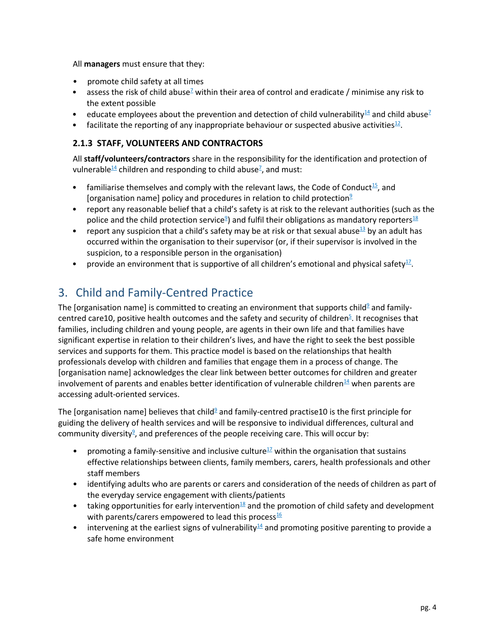All **managers** must ensure that they:

- promote child safety at all times
- ass[e](#page-6-2)ss the risk of child abuse<sup>7</sup> within their area of control and eradicate / minimise any risk to the extent possible
- educate employees about the prevention and detection of child vulnerability  $^{14}$  $^{14}$  $^{14}$  and child abuse  $^{7}$  $^{7}$  $^{7}$
- facilitate the reporting of any inappropriate behaviour or suspected abusive activities $^{12}$  $^{12}$  $^{12}$ .

### <span id="page-3-0"></span>**2.1.3 STAFF, VOLUNTEERS AND CONTRACTORS**

All **staff/volunteers/contractors** share in the responsibility for the identification and protection of vuln[e](#page-6-2)rable $\frac{14}{1}$  $\frac{14}{1}$  $\frac{14}{1}$ children and responding to child abuse<sup>2</sup>, and must:

- familiarise themselves and comply with the relevant laws, the Code of Conduct<sup>[15](#page-14-4)</sup>, and [orga[n](#page-8-3)isation name] policy and procedures in relation to child protection $9$
- report any reasonable belief that a child's safety is at risk to the relevant authorities (such as the police and the child protection service<sup>9</sup>[\)](#page-8-2) and fulfil their obligations as mandatory reporters<sup>[18](#page-17-3)</sup>
- report any suspicion that a child's safety may be at risk or that sexual abuse $13$  by an adult has occurred within the organisation to their supervisor (or, if their supervisor is involved in the suspicion, to a responsible person in the organisation)
- provide an environment that is supportive of all children's emotional and physical safety<sup>[17](#page-16-0)</sup>.

# <span id="page-3-1"></span>3. Child and Family-Centred Practice

The [organisation name] is committe[d](#page-8-4) to creating an environment that supports child<sup>9</sup> and familycentred car[e10,](#page-9-0) positive health outcomes a[n](#page-4-0)d the safety and security of children<sup>5</sup>. It recognises that families, including children and young people, are agents in their own life and that families have significant expertise in relation to their children's lives, and have the right to seek the best possible services and supports for them. This practice model is based on the relationships that health professionals develop with children and families that engage them in a process of change. The [organisation name] acknowledges the clear link between better outcomes for children and greater involvement of parents and enables better identification of vulnerable children $14$  when parents are accessing adult-oriented services.

The [organisation name] believes that chil[d](#page-8-4) $9$  and family-centred practis[e10](#page-9-0) is the first principle for guiding the delivery of health services and will be responsive to individual differences, cultural and communit[y](#page-8-5) diversity<sup>9</sup>, and preferences of the people receiving care. This will occur by:

- promoting a family-sensitive and inclusive culture<sup>[17](#page-16-2)</sup> within the organisation that sustains effective relationships between clients, family members, carers, health professionals and other staff members
- identifying adults who are parents or carers and consideration of the needs of children as part of the everyday service engagement with clients/patients
- taking opportunities for early intervention $^{18}$  $^{18}$  $^{18}$  and the promotion of child safety and development with parents/carers empowered to lead this process $^{16}$  $^{16}$  $^{16}$
- intervening at the earliest signs of vulnerability $\frac{14}{3}$  $\frac{14}{3}$  $\frac{14}{3}$  and promoting positive parenting to provide a safe home environment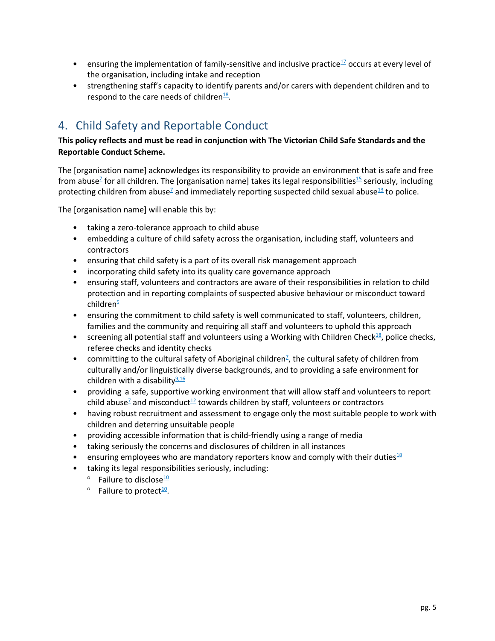- ensuring the implementation of family-sensitive and inclusive practice $1/2$  occurs at every level of the organisation, including intake and reception
- strengthening staff's capacity to identify parents and/or carers with dependent children and to respond to the care needs of children $\frac{18}{1}$  $\frac{18}{1}$  $\frac{18}{1}$ .

# <span id="page-4-0"></span>4. Child Safety and Reportable Conduct

### **This policy reflects and must be read in conjunction with The Victorian Child Safe Standards and the Reportable Conduct Scheme.**

The [organisation name] acknowledges its responsibility to provide an environment that is safe and free from abuse<sup>z</sup> for all children. The [organisation name] takes its legal responsibilities<sup>[15](#page-14-2)</sup> seriously, including prot[e](#page-6-2)cting children from abuse<sup>7</sup> and immediately reporting suspected child sexual abuse<sup>[13](#page-12-1)</sup> to police.

The [organisation name] will enable this by:

- taking a zero-tolerance approach to child abuse
- embedding a culture of child safety across the organisation, including staff, volunteers and contractors
- ensuring that child safety is a part of its overall risk management approach
- incorporating child safety into its quality care governance approach
- ensuring staff, volunteers and contractors are aware of their responsibilities in relation to child protection and in reporting complaints of suspected abusive behaviour or misconduct toward childre[n](#page-4-0)<sup>5</sup>
- ensuring the commitment to child safety is well communicated to staff, volunteers, children, families and the community and requiring all staff and volunteers to uphold this approach
- screening all potential staff and volunteers using a Working with Children Check $^{18}$  $^{18}$  $^{18}$ , police checks, referee checks and identity checks
- committi[n](#page-6-1)g to the cultural safety of Aboriginal children<sup> $Z$ </sup>, the cultural safety of children from culturally and/or linguistically diverse backgrounds, and to providing a safe environment for children with a disability $\frac{9.16}{9.16}$  $\frac{9.16}{9.16}$  $\frac{9.16}{9.16}$
- providing a safe, supportive working environment that will allow staff and volunteers to report child abus[e](#page-6-2)<sup> $2$ </sup> and misconduct<sup> $12$ </sup> towards children by staff, volunteers or contractors
- having robust recruitment and assessment to engage only the most suitable people to work with children and deterring unsuitable people
- providing accessible information that is child-friendly using a range of media
- taking seriously the concerns and disclosures of children in all instances
- ensuring employees who are mandatory reporters know and comply with their duties<sup>[18](#page-17-3)</sup>
- taking its legal responsibilities seriously, including:
	- $\degree$  Failure to disclose<sup>[10](#page-9-1)</sup>
	- $\degree$  Failure to protect<sup>[10](#page-9-2)</sup>.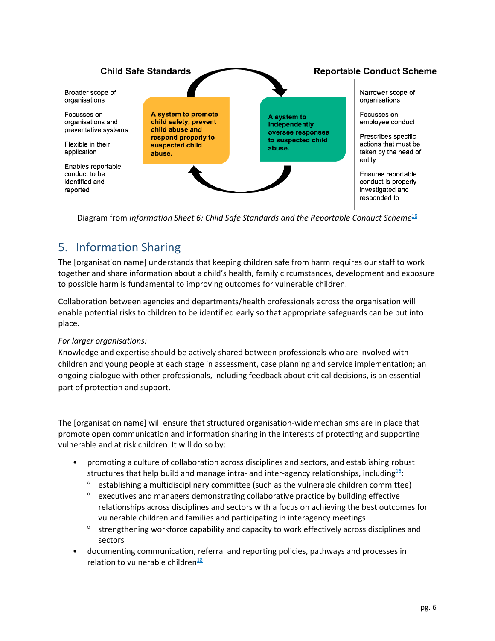

Diagram from *Information Sheet 6: Child Safe Standards and the Reportable Conduct Scheme*[18](#page-17-4)

# <span id="page-5-0"></span>5. Information Sharing

The [organisation name] understands that keeping children safe from harm requires our staff to work together and share information about a child's health, family circumstances, development and exposure to possible harm is fundamental to improving outcomes for vulnerable children.

Collaboration between agencies and departments/health professionals across the organisation will enable potential risks to children to be identified early so that appropriate safeguards can be put into place.

### *For larger organisations:*

Knowledge and expertise should be actively shared between professionals who are involved with children and young people at each stage in assessment, case planning and service implementation; an ongoing dialogue with other professionals, including feedback about critical decisions, is an essential part of protection and support.

The [organisation name] will ensure that structured organisation-wide mechanisms are in place that promote open communication and information sharing in the interests of protecting and supporting vulnerable and at risk children. It will do so by:

- promoting a culture of collaboration across disciplines and sectors, and establishing robust structures that help build and manage intra- and inter-agency relationships, including<sup>[16](#page-15-0)</sup>:
	- $\degree$  establishing a multidisciplinary committee (such as the vulnerable children committee)
	- $\degree$  executives and managers demonstrating collaborative practice by building effective relationships across disciplines and sectors with a focus on achieving the best outcomes for vulnerable children and families and participating in interagency meetings
	- <sup>o</sup> strengthening workforce capability and capacity to work effectively across disciplines and sectors
- documenting communication, referral and reporting policies, pathways and processes in relation to vulnerable children $\frac{18}{1}$  $\frac{18}{1}$  $\frac{18}{1}$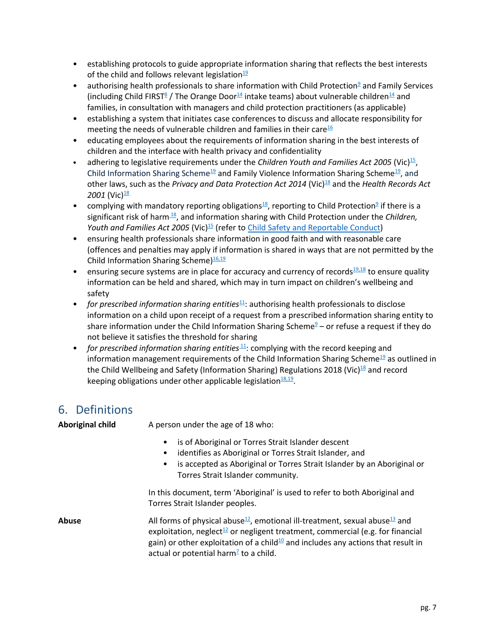- establishing protocols to guide appropriate information sharing that reflects the best interests of the child and follows relevant legislation $\frac{19}{2}$  $\frac{19}{2}$  $\frac{19}{2}$
- authorisi[n](#page-8-2)g health professionals to share information with Child Protection $9$  and Family Services (including Child FIRS[T](#page-7-0)<sup>8</sup> / The Orange Door<sup>[14](#page-13-0)</sup> intake teams) about vulnerable children<sup>14</sup> and families, in consultation with managers and child protection practitioners (as applicable)
- establishing a system that initiates case conferences to discuss and allocate responsibility for meeting the needs of vulnerable children and families in their care $\frac{16}{1}$  $\frac{16}{1}$  $\frac{16}{1}$
- educating employees about the requirements of information sharing in the best interests of children and the interface with health privacy and confidentiality
- adhering to legislative requirements under the *Children Youth and Families Act 2005* (Vic)<sup>[15](#page-14-3)</sup>, Child Information Sharing Scheme<sup>[19](#page-18-2)</sup> and Family Violence Information Sharing Scheme<sup>19</sup>, and other laws, such as the *Privacy and Data Protection Act 2014* (Vic)<sup>[18](#page-17-5)</sup> and the *Health Records Act* 2001 (Vic)<sup>[18](#page-17-5)</sup>
- complying with mandatory reporting obligations<sup>[18](#page-17-3)</sup>, reporti[n](#page-8-2)g to Child Protection<sup>9</sup> if there is a significant risk of harm<sup>[18](#page-17-1)</sup>, and information sharing with Child Protection under the *Children, Youth and Families Act 2005* (Vic)<sup>[15](#page-14-3)</sup> (refer to [Child Safety and Reportable Conduct\)](#page-4-0)
- ensuring health professionals share information in good faith and with reasonable care (offences and penalties may apply if information is shared in ways that are not permitted by the Child Information Sharing Scheme)<sup>[16,](#page-15-4)[19](#page-18-3)</sup>
- ensuring secure systems are in place for accuracy and currency of records $19.18$  $19.18$  to ensure quality information can be held and shared, which may in turn impact on children's wellbeing and safety
- *for prescribed information sharing entities*<sup>[11](#page-10-0)</sup>: authorising health professionals to disclose information on a child upon receipt of a request from a prescribed information sharing entity to shar[e](#page-8-1) information under the Child Information Sharing Scheme $9$  – or refuse a request if they do not believe it satisfies the threshold for sharing
- *for prescribed information sharing entities*  $\frac{11}{2}$  $\frac{11}{2}$  $\frac{11}{2}$ : complying with the record keeping and information management requirements of the Child Information Sharing Scheme $\frac{19}{2}$  $\frac{19}{2}$  $\frac{19}{2}$  as outlined in the Child Wellbeing and Safety (Information Sharing) Regulations 20[18](#page-17-6) (Vic)<sup>18</sup> and record keeping obligations under other applicable legislation $\frac{18,19}{2}$  $\frac{18,19}{2}$  $\frac{18,19}{2}$  $\frac{18,19}{2}$ .

# <span id="page-6-0"></span>6. Definitions

<span id="page-6-2"></span><span id="page-6-1"></span>

| <b>Aboriginal child</b> | A person under the age of 18 who:                                                                                                                                                                                                                                                                                                                          |
|-------------------------|------------------------------------------------------------------------------------------------------------------------------------------------------------------------------------------------------------------------------------------------------------------------------------------------------------------------------------------------------------|
|                         | is of Aboriginal or Torres Strait Islander descent<br>$\bullet$<br>identifies as Aboriginal or Torres Strait Islander, and<br>$\bullet$<br>is accepted as Aboriginal or Torres Strait Islander by an Aboriginal or<br>$\bullet$<br>Torres Strait Islander community.                                                                                       |
|                         | In this document, term 'Aboriginal' is used to refer to both Aboriginal and<br>Torres Strait Islander peoples.                                                                                                                                                                                                                                             |
| Abuse                   | All forms of physical abuse <sup>12</sup> , emotional ill-treatment, sexual abuse <sup>13</sup> and<br>exploitation, neglect <sup>12</sup> or negligent treatment, commercial (e.g. for financial<br>gain) or other exploitation of a child $10$ and includes any actions that result in<br>actual or potential harm <sup><math>2</math></sup> to a child. |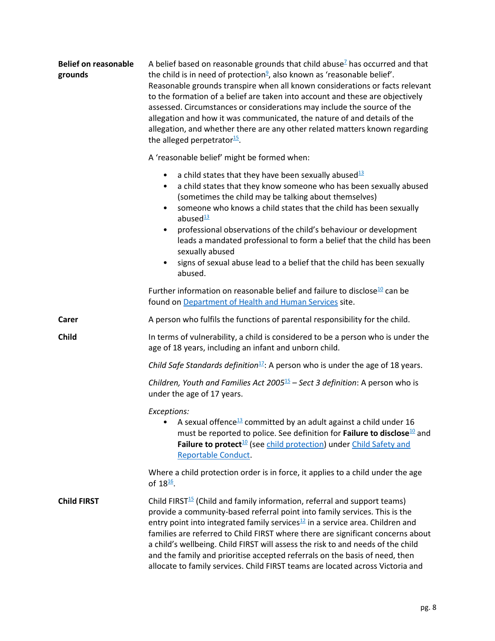<span id="page-7-2"></span><span id="page-7-1"></span><span id="page-7-0"></span>

| <b>Belief on reasonable</b><br>grounds | A belief based on reasonable grounds that child abuse <sup>7</sup> has occurred and that<br>the child is in need of protection <sup>9</sup> , also known as 'reasonable belief'.<br>Reasonable grounds transpire when all known considerations or facts relevant<br>to the formation of a belief are taken into account and these are objectively<br>assessed. Circumstances or considerations may include the source of the<br>allegation and how it was communicated, the nature of and details of the<br>allegation, and whether there are any other related matters known regarding<br>the alleged perpetrator $15$ . |
|----------------------------------------|---------------------------------------------------------------------------------------------------------------------------------------------------------------------------------------------------------------------------------------------------------------------------------------------------------------------------------------------------------------------------------------------------------------------------------------------------------------------------------------------------------------------------------------------------------------------------------------------------------------------------|
|                                        | A 'reasonable belief' might be formed when:                                                                                                                                                                                                                                                                                                                                                                                                                                                                                                                                                                               |
|                                        | a child states that they have been sexually abused <sup>13</sup><br>a child states that they know someone who has been sexually abused<br>$\bullet$<br>(sometimes the child may be talking about themselves)<br>someone who knows a child states that the child has been sexually<br>abused <sup>13</sup><br>professional observations of the child's behaviour or development<br>٠<br>leads a mandated professional to form a belief that the child has been<br>sexually abused<br>signs of sexual abuse lead to a belief that the child has been sexually<br>$\bullet$<br>abused.                                       |
|                                        | Further information on reasonable belief and failure to disclose <sup>10</sup> can be<br>found on Department of Health and Human Services site.                                                                                                                                                                                                                                                                                                                                                                                                                                                                           |
| Carer                                  | A person who fulfils the functions of parental responsibility for the child.                                                                                                                                                                                                                                                                                                                                                                                                                                                                                                                                              |
| Child                                  | In terms of vulnerability, a child is considered to be a person who is under the<br>age of 18 years, including an infant and unborn child.                                                                                                                                                                                                                                                                                                                                                                                                                                                                                |
|                                        | Child Safe Standards definition <sup>17</sup> : A person who is under the age of 18 years.                                                                                                                                                                                                                                                                                                                                                                                                                                                                                                                                |
|                                        | Children, Youth and Families Act 2005 <sup>15</sup> – Sect 3 definition: A person who is<br>under the age of 17 years.                                                                                                                                                                                                                                                                                                                                                                                                                                                                                                    |
|                                        | Exceptions:<br>A sexual offence <sup>13</sup> committed by an adult against a child under 16<br>must be reported to police. See definition for <b>Failure to disclose</b> <sup>10</sup> and<br>Failure to protect <sup>10</sup> (see child protection) under Child Safety and<br><b>Reportable Conduct.</b>                                                                                                                                                                                                                                                                                                               |
|                                        | Where a child protection order is in force, it applies to a child under the age<br>of $18^{\underline{16}}$ .                                                                                                                                                                                                                                                                                                                                                                                                                                                                                                             |
| <b>Child FIRST</b>                     | Child FIRST $15$ (Child and family information, referral and support teams)<br>provide a community-based referral point into family services. This is the<br>entry point into integrated family services $12$ in a service area. Children and<br>families are referred to Child FIRST where there are significant concerns about<br>a child's wellbeing. Child FIRST will assess the risk to and needs of the child<br>and the family and prioritise accepted referrals on the basis of need, then<br>allocate to family services. Child FIRST teams are located across Victoria and                                      |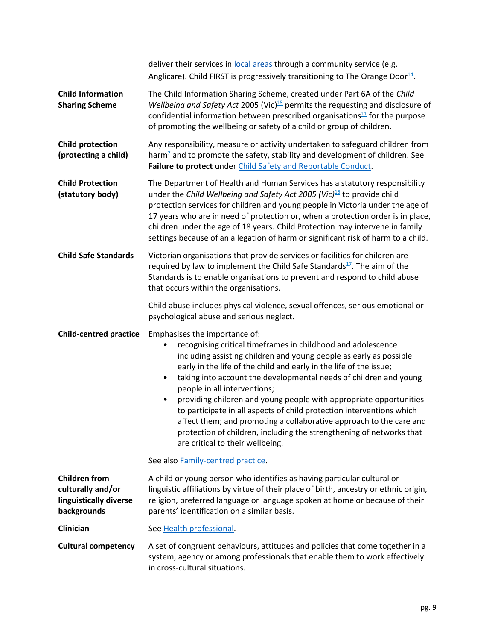<span id="page-8-6"></span><span id="page-8-5"></span><span id="page-8-4"></span><span id="page-8-3"></span><span id="page-8-2"></span><span id="page-8-1"></span><span id="page-8-0"></span>

|                                                                                    | deliver their services in local areas through a community service (e.g.<br>Anglicare). Child FIRST is progressively transitioning to The Orange Door $\frac{14}{1}$ .                                                                                                                                                                                                                                                                                                                                                                                                                                                                                                                                        |
|------------------------------------------------------------------------------------|--------------------------------------------------------------------------------------------------------------------------------------------------------------------------------------------------------------------------------------------------------------------------------------------------------------------------------------------------------------------------------------------------------------------------------------------------------------------------------------------------------------------------------------------------------------------------------------------------------------------------------------------------------------------------------------------------------------|
| <b>Child Information</b><br><b>Sharing Scheme</b>                                  | The Child Information Sharing Scheme, created under Part 6A of the Child<br>Wellbeing and Safety Act 2005 (Vic) <sup>15</sup> permits the requesting and disclosure of<br>confidential information between prescribed organisations $\frac{11}{2}$ for the purpose<br>of promoting the wellbeing or safety of a child or group of children.                                                                                                                                                                                                                                                                                                                                                                  |
| <b>Child protection</b><br>(protecting a child)                                    | Any responsibility, measure or activity undertaken to safeguard children from<br>harm <sup>7</sup> and to promote the safety, stability and development of children. See<br>Failure to protect under Child Safety and Reportable Conduct.                                                                                                                                                                                                                                                                                                                                                                                                                                                                    |
| <b>Child Protection</b><br>(statutory body)                                        | The Department of Health and Human Services has a statutory responsibility<br>under the Child Wellbeing and Safety Act 2005 (Vic) <sup>15</sup> to provide child<br>protection services for children and young people in Victoria under the age of<br>17 years who are in need of protection or, when a protection order is in place,<br>children under the age of 18 years. Child Protection may intervene in family<br>settings because of an allegation of harm or significant risk of harm to a child.                                                                                                                                                                                                   |
| <b>Child Safe Standards</b>                                                        | Victorian organisations that provide services or facilities for children are<br>required by law to implement the Child Safe Standards <sup>17</sup> . The aim of the<br>Standards is to enable organisations to prevent and respond to child abuse<br>that occurs within the organisations.                                                                                                                                                                                                                                                                                                                                                                                                                  |
|                                                                                    | Child abuse includes physical violence, sexual offences, serious emotional or<br>psychological abuse and serious neglect.                                                                                                                                                                                                                                                                                                                                                                                                                                                                                                                                                                                    |
| <b>Child-centred practice</b>                                                      | Emphasises the importance of:<br>recognising critical timeframes in childhood and adolescence<br>including assisting children and young people as early as possible -<br>early in the life of the child and early in the life of the issue;<br>taking into account the developmental needs of children and young<br>$\bullet$<br>people in all interventions;<br>providing children and young people with appropriate opportunities<br>$\bullet$<br>to participate in all aspects of child protection interventions which<br>affect them; and promoting a collaborative approach to the care and<br>protection of children, including the strengthening of networks that<br>are critical to their wellbeing. |
|                                                                                    | See also <b>Family-centred practice</b> .                                                                                                                                                                                                                                                                                                                                                                                                                                                                                                                                                                                                                                                                    |
| <b>Children from</b><br>culturally and/or<br>linguistically diverse<br>backgrounds | A child or young person who identifies as having particular cultural or<br>linguistic affiliations by virtue of their place of birth, ancestry or ethnic origin,<br>religion, preferred language or language spoken at home or because of their<br>parents' identification on a similar basis.                                                                                                                                                                                                                                                                                                                                                                                                               |
| <b>Clinician</b>                                                                   | See Health professional.                                                                                                                                                                                                                                                                                                                                                                                                                                                                                                                                                                                                                                                                                     |
| <b>Cultural competency</b>                                                         | A set of congruent behaviours, attitudes and policies that come together in a<br>system, agency or among professionals that enable them to work effectively<br>in cross-cultural situations.                                                                                                                                                                                                                                                                                                                                                                                                                                                                                                                 |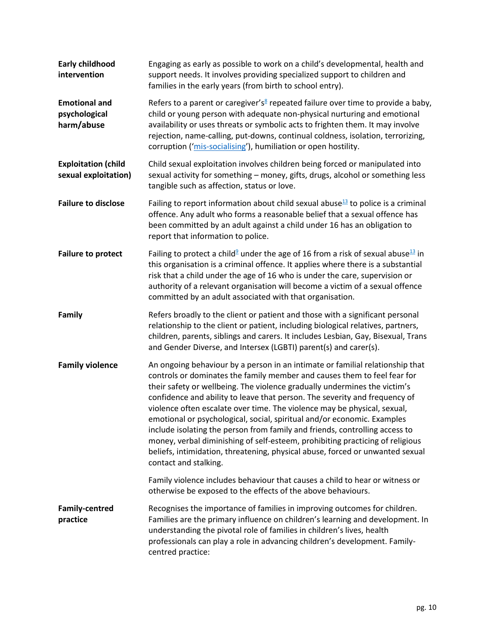<span id="page-9-3"></span><span id="page-9-2"></span><span id="page-9-1"></span><span id="page-9-0"></span>

| <b>Early childhood</b><br>intervention              | Engaging as early as possible to work on a child's developmental, health and<br>support needs. It involves providing specialized support to children and<br>families in the early years (from birth to school entry).                                                                                                                                                                                                                                                                                                                                                                                                                                                                                                                                 |
|-----------------------------------------------------|-------------------------------------------------------------------------------------------------------------------------------------------------------------------------------------------------------------------------------------------------------------------------------------------------------------------------------------------------------------------------------------------------------------------------------------------------------------------------------------------------------------------------------------------------------------------------------------------------------------------------------------------------------------------------------------------------------------------------------------------------------|
| <b>Emotional and</b><br>psychological<br>harm/abuse | Refers to a parent or caregiver's <sup>8</sup> repeated failure over time to provide a baby,<br>child or young person with adequate non-physical nurturing and emotional<br>availability or uses threats or symbolic acts to frighten them. It may involve<br>rejection, name-calling, put-downs, continual coldness, isolation, terrorizing,<br>corruption ('mis-socialising'), humiliation or open hostility.                                                                                                                                                                                                                                                                                                                                       |
| <b>Exploitation (child</b><br>sexual exploitation)  | Child sexual exploitation involves children being forced or manipulated into<br>sexual activity for something - money, gifts, drugs, alcohol or something less<br>tangible such as affection, status or love.                                                                                                                                                                                                                                                                                                                                                                                                                                                                                                                                         |
| <b>Failure to disclose</b>                          | Failing to report information about child sexual abuse $13$ to police is a criminal<br>offence. Any adult who forms a reasonable belief that a sexual offence has<br>been committed by an adult against a child under 16 has an obligation to<br>report that information to police.                                                                                                                                                                                                                                                                                                                                                                                                                                                                   |
| <b>Failure to protect</b>                           | Failing to protect a child <sup>9</sup> under the age of 16 from a risk of sexual abuse <sup>13</sup> in<br>this organisation is a criminal offence. It applies where there is a substantial<br>risk that a child under the age of 16 who is under the care, supervision or<br>authority of a relevant organisation will become a victim of a sexual offence<br>committed by an adult associated with that organisation.                                                                                                                                                                                                                                                                                                                              |
| Family                                              | Refers broadly to the client or patient and those with a significant personal<br>relationship to the client or patient, including biological relatives, partners,<br>children, parents, siblings and carers. It includes Lesbian, Gay, Bisexual, Trans<br>and Gender Diverse, and Intersex (LGBTI) parent(s) and carer(s).                                                                                                                                                                                                                                                                                                                                                                                                                            |
| <b>Family violence</b>                              | An ongoing behaviour by a person in an intimate or familial relationship that<br>controls or dominates the family member and causes them to feel fear for<br>their safety or wellbeing. The violence gradually undermines the victim's<br>confidence and ability to leave that person. The severity and frequency of<br>violence often escalate over time. The violence may be physical, sexual,<br>emotional or psychological, social, spiritual and/or economic. Examples<br>include isolating the person from family and friends, controlling access to<br>money, verbal diminishing of self-esteem, prohibiting practicing of religious<br>beliefs, intimidation, threatening, physical abuse, forced or unwanted sexual<br>contact and stalking. |
|                                                     | Family violence includes behaviour that causes a child to hear or witness or<br>otherwise be exposed to the effects of the above behaviours.                                                                                                                                                                                                                                                                                                                                                                                                                                                                                                                                                                                                          |
| <b>Family-centred</b><br>practice                   | Recognises the importance of families in improving outcomes for children.<br>Families are the primary influence on children's learning and development. In<br>understanding the pivotal role of families in children's lives, health<br>professionals can play a role in advancing children's development. Family-<br>centred practice:                                                                                                                                                                                                                                                                                                                                                                                                               |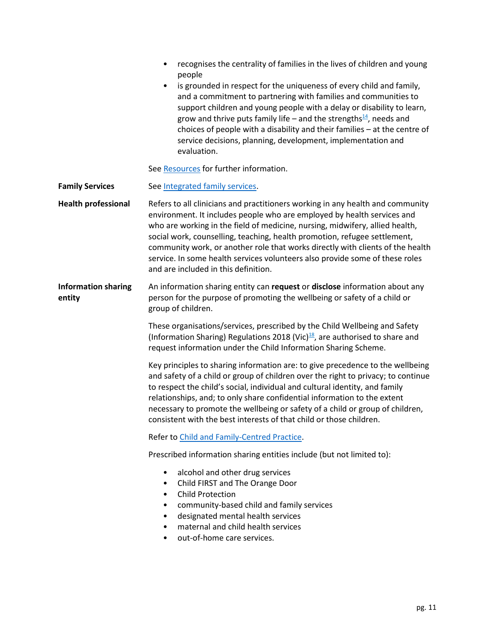<span id="page-10-1"></span><span id="page-10-0"></span>

|                                      | recognises the centrality of families in the lives of children and young<br>٠<br>people<br>is grounded in respect for the uniqueness of every child and family,<br>$\bullet$<br>and a commitment to partnering with families and communities to<br>support children and young people with a delay or disability to learn,<br>grow and thrive puts family life – and the strengths $\frac{14}{2}$ , needs and<br>choices of people with a disability and their families - at the centre of<br>service decisions, planning, development, implementation and<br>evaluation. |
|--------------------------------------|--------------------------------------------------------------------------------------------------------------------------------------------------------------------------------------------------------------------------------------------------------------------------------------------------------------------------------------------------------------------------------------------------------------------------------------------------------------------------------------------------------------------------------------------------------------------------|
|                                      | See Resources for further information.                                                                                                                                                                                                                                                                                                                                                                                                                                                                                                                                   |
| <b>Family Services</b>               | See Integrated family services.                                                                                                                                                                                                                                                                                                                                                                                                                                                                                                                                          |
| <b>Health professional</b>           | Refers to all clinicians and practitioners working in any health and community<br>environment. It includes people who are employed by health services and<br>who are working in the field of medicine, nursing, midwifery, allied health,<br>social work, counselling, teaching, health promotion, refugee settlement,<br>community work, or another role that works directly with clients of the health<br>service. In some health services volunteers also provide some of these roles<br>and are included in this definition.                                         |
| <b>Information sharing</b><br>entity | An information sharing entity can request or disclose information about any<br>person for the purpose of promoting the wellbeing or safety of a child or<br>group of children.                                                                                                                                                                                                                                                                                                                                                                                           |
|                                      | These organisations/services, prescribed by the Child Wellbeing and Safety<br>(Information Sharing) Regulations 2018 (Vic) $\frac{18}{2}$ , are authorised to share and<br>request information under the Child Information Sharing Scheme.                                                                                                                                                                                                                                                                                                                               |
|                                      | Key principles to sharing information are: to give precedence to the wellbeing<br>and safety of a child or group of children over the right to privacy; to continue<br>to respect the child's social, individual and cultural identity, and family<br>relationships, and; to only share confidential information to the extent<br>necessary to promote the wellbeing or safety of a child or group of children,<br>consistent with the best interests of that child or those children.                                                                                   |
|                                      | Refer to Child and Family-Centred Practice.                                                                                                                                                                                                                                                                                                                                                                                                                                                                                                                              |
|                                      | Prescribed information sharing entities include (but not limited to):                                                                                                                                                                                                                                                                                                                                                                                                                                                                                                    |
|                                      | alcohol and other drug services<br>٠<br>Child FIRST and The Orange Door<br>٠<br><b>Child Protection</b><br>$\bullet$<br>community-based child and family services<br>٠<br>designated mental health services<br>$\bullet$<br>maternal and child health services<br>out-of-home care services.<br>$\bullet$                                                                                                                                                                                                                                                                |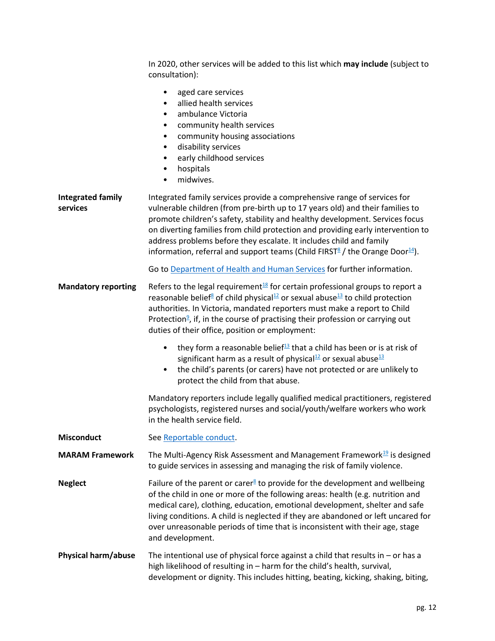<span id="page-11-3"></span><span id="page-11-2"></span><span id="page-11-1"></span><span id="page-11-0"></span>

|                                      | In 2020, other services will be added to this list which may include (subject to<br>consultation):                                                                                                                                                                                                                                                                                                                                                                                                          |
|--------------------------------------|-------------------------------------------------------------------------------------------------------------------------------------------------------------------------------------------------------------------------------------------------------------------------------------------------------------------------------------------------------------------------------------------------------------------------------------------------------------------------------------------------------------|
|                                      | aged care services<br>$\bullet$<br>allied health services<br>$\bullet$<br>ambulance Victoria<br>$\bullet$<br>community health services<br>$\bullet$<br>community housing associations<br>٠<br>disability services<br>٠<br>early childhood services<br>$\bullet$<br>hospitals<br>$\bullet$<br>midwives.<br>$\bullet$                                                                                                                                                                                         |
| <b>Integrated family</b><br>services | Integrated family services provide a comprehensive range of services for<br>vulnerable children (from pre-birth up to 17 years old) and their families to<br>promote children's safety, stability and healthy development. Services focus<br>on diverting families from child protection and providing early intervention to<br>address problems before they escalate. It includes child and family<br>information, referral and support teams (Child FIRST <sup>8</sup> / the Orange Door <sup>14</sup> ). |
|                                      | Go to Department of Health and Human Services for further information.                                                                                                                                                                                                                                                                                                                                                                                                                                      |
| <b>Mandatory reporting</b>           | Refers to the legal requirement <sup>18</sup> for certain professional groups to report a<br>reasonable belief <sup>8</sup> of child physical <sup>12</sup> or sexual abuse <sup>13</sup> to child protection<br>authorities. In Victoria, mandated reporters must make a report to Child<br>Protection <sup>9</sup> , if, in the course of practising their profession or carrying out<br>duties of their office, position or employment:                                                                  |
|                                      | they form a reasonable belief <sup>13</sup> that a child has been or is at risk of<br>$\bullet$<br>significant harm as a result of physical <sup>12</sup> or sexual abuse <sup>13</sup><br>the child's parents (or carers) have not protected or are unlikely to<br>٠<br>protect the child from that abuse.                                                                                                                                                                                                 |
|                                      | Mandatory reporters include legally qualified medical practitioners, registered<br>psychologists, registered nurses and social/youth/welfare workers who work<br>in the health service field.                                                                                                                                                                                                                                                                                                               |
| <b>Misconduct</b>                    | See Reportable conduct.                                                                                                                                                                                                                                                                                                                                                                                                                                                                                     |
| <b>MARAM Framework</b>               | The Multi-Agency Risk Assessment and Management Framework <sup>19</sup> is designed<br>to guide services in assessing and managing the risk of family violence.                                                                                                                                                                                                                                                                                                                                             |
| <b>Neglect</b>                       | Failure of the parent or carer $\frac{8}{3}$ to provide for the development and wellbeing<br>of the child in one or more of the following areas: health (e.g. nutrition and<br>medical care), clothing, education, emotional development, shelter and safe<br>living conditions. A child is neglected if they are abandoned or left uncared for<br>over unreasonable periods of time that is inconsistent with their age, stage<br>and development.                                                         |
| Physical harm/abuse                  | The intentional use of physical force against a child that results in $-$ or has a<br>high likelihood of resulting in - harm for the child's health, survival,<br>development or dignity. This includes hitting, beating, kicking, shaking, biting,                                                                                                                                                                                                                                                         |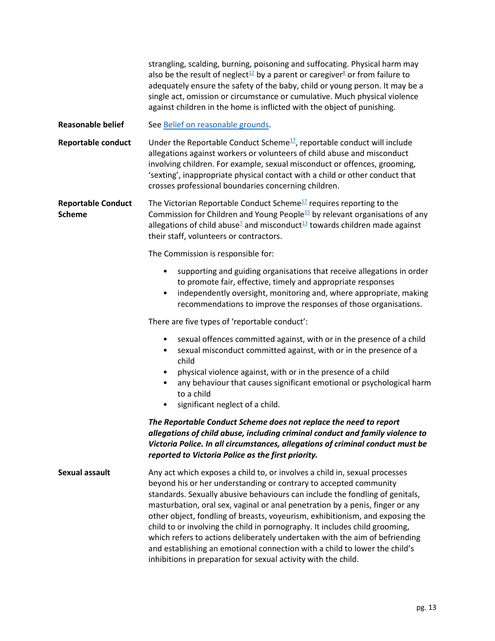strangling, scalding, burning, poisoning and suffocating. Physical harm may also be the result of neglect<sup>[12](#page-11-0)</sup> by a parent or caregiver<sup>[8](#page-7-1)</sup> or from failure to adequately ensure the safety of the baby, child or young person. It may be a single act, omission or circumstance or cumulative. Much physical violence against children in the home is inflicted with the object of punishing.

<span id="page-12-2"></span>**Reasonable belief** See [Belief on reasonable grounds.](#page-7-2)

<span id="page-12-3"></span>**Reportable conduct** Under the Reportable Conduct Scheme<sup>[17](#page-16-4)</sup>, reportable conduct will include allegations against workers or volunteers of child abuse and misconduct involving children. For example, sexual misconduct or offences, grooming, 'sexting', inappropriate physical contact with a child or other conduct that crosses professional boundaries concerning children.

<span id="page-12-0"></span>**Reportable Conduct Scheme** The Victorian Reportable Conduct Scheme $17$  requires reporting to the Commission for Children and Young People<sup>[15](#page-14-7)</sup> by relevant organisations of any all[e](#page-6-2)gations of child abuse<sup> $2$ </sup> and misconduct<sup>[13](#page-12-3)</sup> towards children made against their staff, volunteers or contractors.

The Commission is responsible for:

- supporting and guiding organisations that receive allegations in order to promote fair, effective, timely and appropriate responses
- independently oversight, monitoring and, where appropriate, making recommendations to improve the responses of those organisations.

There are five types of 'reportable conduct':

- sexual offences committed against, with or in the presence of a child
- sexual misconduct committed against, with or in the presence of a child
- physical violence against, with or in the presence of a child
- any behaviour that causes significant emotional or psychological harm to a child
- significant neglect of a child.

*The Reportable Conduct Scheme does not replace the need to report allegations of child abuse, including criminal conduct and family violence to Victoria Police. In all circumstances, allegations of criminal conduct must be reported to Victoria Police as the first priority.*

<span id="page-12-1"></span>**Sexual assault** Any act which exposes a child to, or involves a child in, sexual processes beyond his or her understanding or contrary to accepted community standards. Sexually abusive behaviours can include the fondling of genitals, masturbation, oral sex, vaginal or anal penetration by a penis, finger or any other object, fondling of breasts, voyeurism, exhibitionism, and exposing the child to or involving the child in pornography. It includes child grooming, which refers to actions deliberately undertaken with the aim of befriending and establishing an emotional connection with a child to lower the child's inhibitions in preparation for sexual activity with the child.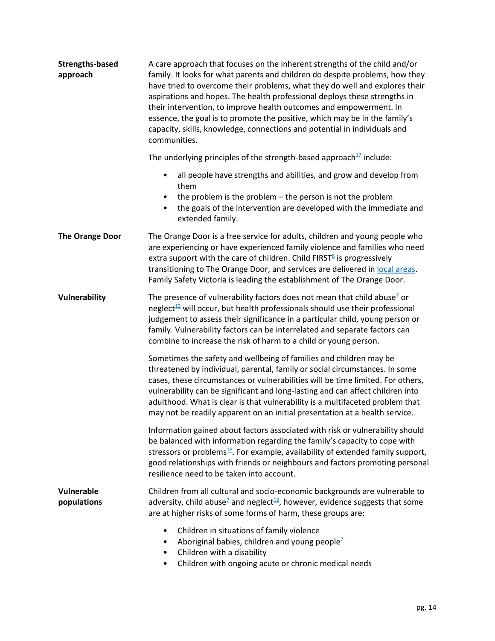<span id="page-13-3"></span><span id="page-13-2"></span><span id="page-13-1"></span><span id="page-13-0"></span>

| <b>Strengths-based</b><br>approach | A care approach that focuses on the inherent strengths of the child and/or<br>family. It looks for what parents and children do despite problems, how they<br>have tried to overcome their problems, what they do well and explores their<br>aspirations and hopes. The health professional deploys these strengths in<br>their intervention, to improve health outcomes and empowerment. In<br>essence, the goal is to promote the positive, which may be in the family's<br>capacity, skills, knowledge, connections and potential in individuals and<br>communities. |
|------------------------------------|-------------------------------------------------------------------------------------------------------------------------------------------------------------------------------------------------------------------------------------------------------------------------------------------------------------------------------------------------------------------------------------------------------------------------------------------------------------------------------------------------------------------------------------------------------------------------|
|                                    | The underlying principles of the strength-based approach <sup>17</sup> include:                                                                                                                                                                                                                                                                                                                                                                                                                                                                                         |
|                                    | all people have strengths and abilities, and grow and develop from<br>$\bullet$<br>them<br>the problem is the problem $-$ the person is not the problem<br>٠<br>the goals of the intervention are developed with the immediate and<br>$\bullet$<br>extended family.                                                                                                                                                                                                                                                                                                     |
| <b>The Orange Door</b>             | The Orange Door is a free service for adults, children and young people who<br>are experiencing or have experienced family violence and families who need<br>extra support with the care of children. Child FIRST <sup>8</sup> is progressively<br>transitioning to The Orange Door, and services are delivered in local areas.<br>Family Safety Victoria is leading the establishment of The Orange Door.                                                                                                                                                              |
| Vulnerability                      | The presence of vulnerability factors does not mean that child abuse <sup><math>2</math></sup> or<br>neglect <sup>12</sup> will occur, but health professionals should use their professional<br>judgement to assess their significance in a particular child, young person or<br>family. Vulnerability factors can be interrelated and separate factors can<br>combine to increase the risk of harm to a child or young person.                                                                                                                                        |
|                                    | Sometimes the safety and wellbeing of families and children may be<br>threatened by individual, parental, family or social circumstances. In some<br>cases, these circumstances or vulnerabilities will be time limited. For others,<br>vulnerability can be significant and long-lasting and can affect children into<br>adulthood. What is clear is that vulnerability is a multifaceted problem that<br>may not be readily apparent on an initial presentation at a health service.                                                                                  |
|                                    | Information gained about factors associated with risk or vulnerability should<br>be balanced with information regarding the family's capacity to cope with<br>stressors or problems <sup>18</sup> . For example, availability of extended family support,<br>good relationships with friends or neighbours and factors promoting personal<br>resilience need to be taken into account.                                                                                                                                                                                  |
| <b>Vulnerable</b><br>populations   | Children from all cultural and socio-economic backgrounds are vulnerable to<br>adversity, child abuse <sup><math>2</math></sup> and neglect <sup>12</sup> , however, evidence suggests that some<br>are at higher risks of some forms of harm, these groups are:                                                                                                                                                                                                                                                                                                        |
|                                    | Children in situations of family violence<br>Aboriginal babies, children and young people <sup><math>2</math></sup><br>٠<br>Children with a disability<br>Children with ongoing acute or chronic medical needs                                                                                                                                                                                                                                                                                                                                                          |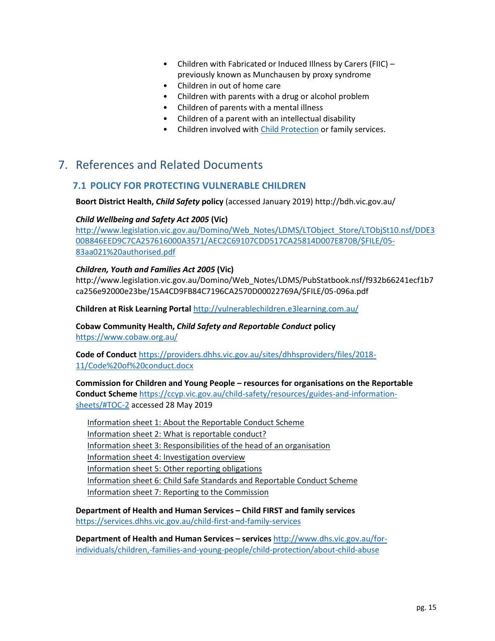- Children with Fabricated or Induced Illness by Carers (FIIC) previously known as Munchausen by proxy syndrome
- Children in out of home care
- Children with parents with a drug or alcohol problem
- Children of parents with a mental illness
- Children of a parent with an intellectual disability
- Children involved wit[h Child Protection](#page-8-2) or family services.

# <span id="page-14-1"></span><span id="page-14-0"></span>7. References and Related Documents

### **7.1 POLICY FOR PROTECTING VULNERABLE CHILDREN**

**Boort District Health,** *Child Safety* **policy** (accessed January 2019) http://bdh.vic.gov.au/

#### <span id="page-14-2"></span>*Child Wellbeing and Safety Act 2005* **(Vic)**

[http://www.legislation.vic.gov.au/Domino/Web\\_Notes/LDMS/LTObject\\_Store/LTObjSt10.nsf/DDE3](http://www.legislation.vic.gov.au/Domino/Web_Notes/LDMS/LTObject_Store/LTObjSt10.nsf/DDE300B846EED9C7CA257616000A3571/AEC2C69107CDD517CA25814D007E870B/$FILE/05-83aa021%20authorised.pdf) [00B846EED9C7CA257616000A3571/AEC2C69107CDD517CA25814D007E870B/\\$FILE/05-](http://www.legislation.vic.gov.au/Domino/Web_Notes/LDMS/LTObject_Store/LTObjSt10.nsf/DDE300B846EED9C7CA257616000A3571/AEC2C69107CDD517CA25814D007E870B/$FILE/05-83aa021%20authorised.pdf) [83aa021%20authorised.pdf](http://www.legislation.vic.gov.au/Domino/Web_Notes/LDMS/LTObject_Store/LTObjSt10.nsf/DDE300B846EED9C7CA257616000A3571/AEC2C69107CDD517CA25814D007E870B/$FILE/05-83aa021%20authorised.pdf)

#### <span id="page-14-3"></span>*Children, Youth and Families Act 2005* **(Vic)**

http://www.legislation.vic.gov.au/Domino/Web\_Notes/LDMS/PubStatbook.nsf/f932b66241ecf1b7 ca256e92000e23be/15A4CD9FB84C7196CA2570D00022769A/\$FILE/05-096a.pdf

**Children at Risk Learning Portal** <http://vulnerablechildren.e3learning.com.au/>

<span id="page-14-5"></span>**Cobaw Community Health,** *Child Safety and Reportable Conduct* **policy**  <https://www.cobaw.org.au/>

<span id="page-14-4"></span>**Code of Conduct** [https://providers.dhhs.vic.gov.au/sites/dhhsproviders/files/2018-](https://providers.dhhs.vic.gov.au/sites/dhhsproviders/files/2018-11/Code%20of%20conduct.docx) [11/Code%20of%20conduct.docx](https://providers.dhhs.vic.gov.au/sites/dhhsproviders/files/2018-11/Code%20of%20conduct.docx)

<span id="page-14-7"></span>**Commission for Children and Young People – resources for organisations on the Reportable Conduct Scheme** [https://ccyp.vic.gov.au/child-safety/resources/guides-and-information](https://ccyp.vic.gov.au/child-safety/resources/guides-and-information-sheets/#TOC-2)[sheets/#TOC-2](https://ccyp.vic.gov.au/child-safety/resources/guides-and-information-sheets/#TOC-2) accessed 28 May 2019

[Information sheet 1: About the Reportable Conduct Scheme](https://ccyp.vic.gov.au/child-safety/resources/reportable-conduct-scheme-information-sheets/#TOC-1) [Information sheet 2: What is reportable conduct?](https://ccyp.vic.gov.au/child-safety/resources/reportable-conduct-scheme-information-sheets/#TOC-2) [Information sheet 3: Responsibilities of the head of an organisation](https://ccyp.vic.gov.au/child-safety/resources/reportable-conduct-scheme-information-sheets/#TOC-3) [Information sheet 4: Investigation overview](https://ccyp.vic.gov.au/child-safety/resources/reportable-conduct-scheme-information-sheets/#TOC-4) [Information sheet 5: Other reporting obligations](https://ccyp.vic.gov.au/child-safety/resources/reportable-conduct-scheme-information-sheets/#TOC-5) [Information sheet 6: Child Safe Standards and Reportable Conduct Scheme](https://ccyp.vic.gov.au/child-safety/resources/reportable-conduct-scheme-information-sheets/#TOC-6) [Information sheet 7: Reporting to the Commission](https://ccyp.vic.gov.au/child-safety/resources/reportable-conduct-scheme-information-sheets/#TOC-7)

<span id="page-14-6"></span>**Department of Health and Human Services – Child FIRST and family services** <https://services.dhhs.vic.gov.au/child-first-and-family-services>

**Department of Health and Human Services – services** [http://www.dhs.vic.gov.au/for](http://www.dhs.vic.gov.au/for-individuals/children,-families-and-young-people/child-protection/about-child-abuse)[individuals/children,-families-and-young-people/child-protection/about-child-abuse](http://www.dhs.vic.gov.au/for-individuals/children,-families-and-young-people/child-protection/about-child-abuse)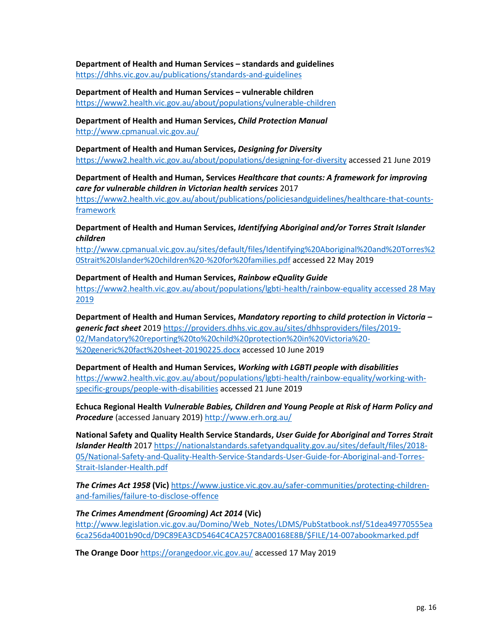**Department of Health and Human Services – standards and guidelines** <https://dhhs.vic.gov.au/publications/standards-and-guidelines>

**Department of Health and Human Services – vulnerable children**  <https://www2.health.vic.gov.au/about/populations/vulnerable-children>

<span id="page-15-5"></span>**Department of Health and Human Services,** *Child Protection Manual* <http://www.cpmanual.vic.gov.au/>

<span id="page-15-0"></span>**Department of Health and Human Services,** *Designing for Diversity*  <https://www2.health.vic.gov.au/about/populations/designing-for-diversity> accessed 21 June 2019

**Department of Health and Human, Services** *Healthcare that counts: A framework for improving care for vulnerable children in Victorian health services* 2017

[https://www2.health.vic.gov.au/about/publications/policiesandguidelines/healthcare-that-counts](https://www2.health.vic.gov.au/about/publications/policiesandguidelines/healthcare-that-counts-framework)[framework](https://www2.health.vic.gov.au/about/publications/policiesandguidelines/healthcare-that-counts-framework)

**Department of Health and Human Services,** *Identifying Aboriginal and/or Torres Strait Islander children*

[http://www.cpmanual.vic.gov.au/sites/default/files/Identifying%20Aboriginal%20and%20Torres%2](http://www.cpmanual.vic.gov.au/sites/default/files/Identifying%20Aboriginal%20and%20Torres%20Strait%20Islander%20children%20-%20for%20families.pdf) [0Strait%20Islander%20children%20-%20for%20families.pdf](http://www.cpmanual.vic.gov.au/sites/default/files/Identifying%20Aboriginal%20and%20Torres%20Strait%20Islander%20children%20-%20for%20families.pdf) accessed 22 May 2019

<span id="page-15-2"></span>**Department of Health and Human Services,** *Rainbow eQuality Guide* [https://www2.health.vic.gov.au/about/populations/lgbti-health/rainbow-equality accessed 28 May](https://www2.health.vic.gov.au/about/populations/lgbti-health/rainbow-equality%20accessed%2028%20May%202019)  [2019](https://www2.health.vic.gov.au/about/populations/lgbti-health/rainbow-equality%20accessed%2028%20May%202019)

**Department of Health and Human Services,** *Mandatory reporting to child protection in Victoria – generic fact sheet* 2019 [https://providers.dhhs.vic.gov.au/sites/dhhsproviders/files/2019-](https://providers.dhhs.vic.gov.au/sites/dhhsproviders/files/2019-02/Mandatory%20reporting%20to%20child%20protection%20in%20Victoria%20-%20generic%20fact%20sheet-20190225.docx) [02/Mandatory%20reporting%20to%20child%20protection%20in%20Victoria%20-](https://providers.dhhs.vic.gov.au/sites/dhhsproviders/files/2019-02/Mandatory%20reporting%20to%20child%20protection%20in%20Victoria%20-%20generic%20fact%20sheet-20190225.docx) [%20generic%20fact%20sheet-20190225.docx](https://providers.dhhs.vic.gov.au/sites/dhhsproviders/files/2019-02/Mandatory%20reporting%20to%20child%20protection%20in%20Victoria%20-%20generic%20fact%20sheet-20190225.docx) accessed 10 June 2019

<span id="page-15-3"></span>**Department of Health and Human Services,** *Working with LGBTI people with disabilities* [https://www2.health.vic.gov.au/about/populations/lgbti-health/rainbow-equality/working-with](https://www2.health.vic.gov.au/about/populations/lgbti-health/rainbow-equality/working-with-specific-groups/people-with-disabilities)[specific-groups/people-with-disabilities](https://www2.health.vic.gov.au/about/populations/lgbti-health/rainbow-equality/working-with-specific-groups/people-with-disabilities) accessed 21 June 2019

**Echuca Regional Health** *Vulnerable Babies, Children and Young People at Risk of Harm Policy and Procedure* (accessed January 2019) <http://www.erh.org.au/>

<span id="page-15-1"></span>**National Safety and Quality Health Service Standards,** *User Guide for Aboriginal and Torres Strait Islander Health* 201[7 https://nationalstandards.safetyandquality.gov.au/sites/default/files/2018-](https://nationalstandards.safetyandquality.gov.au/sites/default/files/2018-05/National-Safety-and-Quality-Health-Service-Standards-User-Guide-for-Aboriginal-and-Torres-Strait-Islander-Health.pdf) [05/National-Safety-and-Quality-Health-Service-Standards-User-Guide-for-Aboriginal-and-Torres-](https://nationalstandards.safetyandquality.gov.au/sites/default/files/2018-05/National-Safety-and-Quality-Health-Service-Standards-User-Guide-for-Aboriginal-and-Torres-Strait-Islander-Health.pdf)[Strait-Islander-Health.pdf](https://nationalstandards.safetyandquality.gov.au/sites/default/files/2018-05/National-Safety-and-Quality-Health-Service-Standards-User-Guide-for-Aboriginal-and-Torres-Strait-Islander-Health.pdf)

<span id="page-15-4"></span>*The Crimes Act 1958* **(Vic)** [https://www.justice.vic.gov.au/safer-communities/protecting-children](https://www.justice.vic.gov.au/safer-communities/protecting-children-and-families/failure-to-disclose-offence)[and-families/failure-to-disclose-offence](https://www.justice.vic.gov.au/safer-communities/protecting-children-and-families/failure-to-disclose-offence)

*The Crimes Amendment (Grooming) Act 2014* **(Vic)**  [http://www.legislation.vic.gov.au/Domino/Web\\_Notes/LDMS/PubStatbook.nsf/51dea49770555ea](http://www.legislation.vic.gov.au/Domino/Web_Notes/LDMS/PubStatbook.nsf/51dea49770555ea6ca256da4001b90cd/D9C89EA3CD5464C4CA257C8A00168E8B/$FILE/14-007abookmarked.pdf) [6ca256da4001b90cd/D9C89EA3CD5464C4CA257C8A00168E8B/\\$FILE/14-007abookmarked.pdf](http://www.legislation.vic.gov.au/Domino/Web_Notes/LDMS/PubStatbook.nsf/51dea49770555ea6ca256da4001b90cd/D9C89EA3CD5464C4CA257C8A00168E8B/$FILE/14-007abookmarked.pdf)

**The Orange Door** <https://orangedoor.vic.gov.au/> accessed 17 May 2019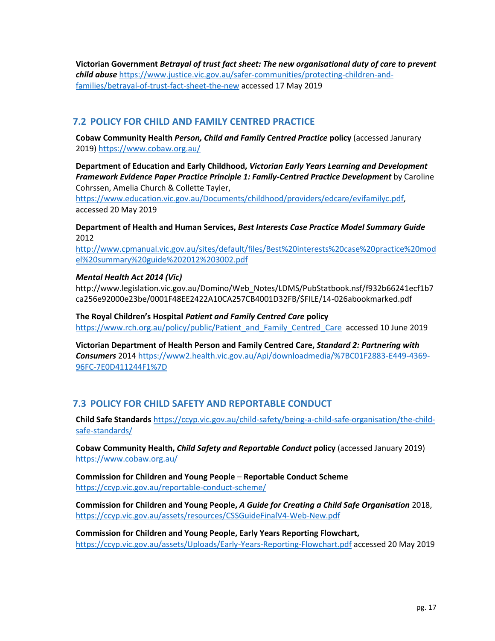**Victorian Government** *Betrayal of trust fact sheet: The new organisational duty of care to prevent child abuse* [https://www.justice.vic.gov.au/safer-communities/protecting-children-and](https://www.justice.vic.gov.au/safer-communities/protecting-children-and-families/betrayal-of-trust-fact-sheet-the-new%20accessed%2017%20May%202019)[families/betrayal-of-trust-fact-sheet-the-new](https://www.justice.vic.gov.au/safer-communities/protecting-children-and-families/betrayal-of-trust-fact-sheet-the-new%20accessed%2017%20May%202019) accessed 17 May 2019

### <span id="page-16-0"></span>**7.2 POLICY FOR CHILD AND FAMILY CENTRED PRACTICE**

**Cobaw Community Health** *Person, Child and Family Centred Practice* **policy** (accessed Janurary 2019)<https://www.cobaw.org.au/>

**Department of Education and Early Childhood,** *Victorian Early Years Learning and Development Framework Evidence Paper Practice Principle 1: Family-Centred Practice Development* by Caroline Cohrssen, Amelia Church & Collette Tayler,

[https://www.education.vic.gov.au/Documents/childhood/providers/edcare/evifamilyc.pdf,](https://www.education.vic.gov.au/Documents/childhood/providers/edcare/evifamilyc.pdf) accessed 20 May 2019

<span id="page-16-5"></span>**Department of Health and Human Services,** *Best Interests Case Practice Model Summary Guide* 2012

[http://www.cpmanual.vic.gov.au/sites/default/files/Best%20interests%20case%20practice%20mod](http://www.cpmanual.vic.gov.au/sites/default/files/Best%20interests%20case%20practice%20model%20summary%20guide%202012%203002.pdf) [el%20summary%20guide%202012%203002.pdf](http://www.cpmanual.vic.gov.au/sites/default/files/Best%20interests%20case%20practice%20model%20summary%20guide%202012%203002.pdf)

#### *Mental Health Act 2014 (Vic)*

http://www.legislation.vic.gov.au/Domino/Web\_Notes/LDMS/PubStatbook.nsf/f932b66241ecf1b7 ca256e92000e23be/0001F48EE2422A10CA257CB4001D32FB/\$FILE/14-026abookmarked.pdf

**The Royal Children's Hospital** *Patient and Family Centred Care* **policy** [https://www.rch.org.au/policy/public/Patient\\_and\\_Family\\_Centred\\_Care](https://www.rch.org.au/policy/public/Patient_and_Family_Centred_Care/) accessed 10 June 2019

<span id="page-16-2"></span>**Victorian Department of Health Person and Family Centred Care,** *Standard 2: Partnering with Consumers* 2014 [https://www2.health.vic.gov.au/Api/downloadmedia/%7BC01F2883-E449-4369-](https://www2.health.vic.gov.au/Api/downloadmedia/%7BC01F2883-E449-4369-96FC-7E0D411244F1%7D) [96FC-7E0D411244F1%7D](https://www2.health.vic.gov.au/Api/downloadmedia/%7BC01F2883-E449-4369-96FC-7E0D411244F1%7D)

### <span id="page-16-1"></span>**7.3 POLICY FOR CHILD SAFETY AND REPORTABLE CONDUCT**

<span id="page-16-3"></span>**Child Safe Standards** [https://ccyp.vic.gov.au/child-safety/being-a-child-safe-organisation/the-child](https://ccyp.vic.gov.au/child-safety/being-a-child-safe-organisation/the-child-safe-standards/)[safe-standards/](https://ccyp.vic.gov.au/child-safety/being-a-child-safe-organisation/the-child-safe-standards/)

**Cobaw Community Health,** *Child Safety and Reportable Conduct* **policy** (accessed January 2019) <https://www.cobaw.org.au/>

<span id="page-16-4"></span>**Commission for Children and Young People** – **Reportable Conduct Scheme**  <https://ccyp.vic.gov.au/reportable-conduct-scheme/>

**Commission for Children and Young People,** *A Guide for Creating a Child Safe Organisation* 2018, <https://ccyp.vic.gov.au/assets/resources/CSSGuideFinalV4-Web-New.pdf>

**Commission for Children and Young People, Early Years Reporting Flowchart,**  <https://ccyp.vic.gov.au/assets/Uploads/Early-Years-Reporting-Flowchart.pdf> accessed 20 May 2019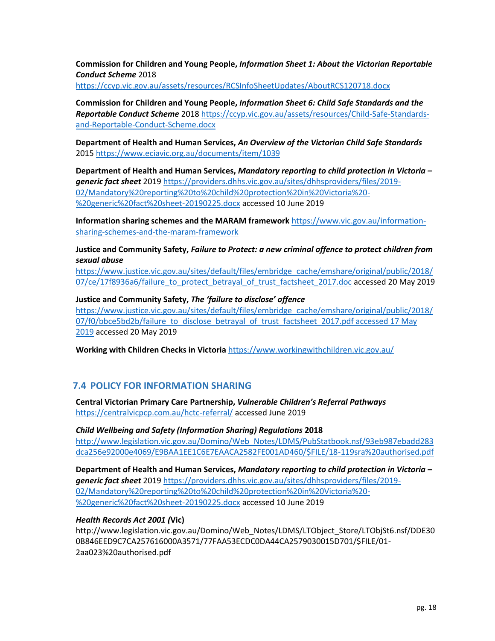**Commission for Children and Young People,** *Information Sheet 1: About the Victorian Reportable Conduct Scheme* 2018

<https://ccyp.vic.gov.au/assets/resources/RCSInfoSheetUpdates/AboutRCS120718.docx>

<span id="page-17-4"></span>**Commission for Children and Young People,** *Information Sheet 6: Child Safe Standards and the Reportable Conduct Scheme* 2018 [https://ccyp.vic.gov.au/assets/resources/Child-Safe-Standards](https://ccyp.vic.gov.au/assets/resources/Child-Safe-Standards-and-Reportable-Conduct-Scheme.docx)[and-Reportable-Conduct-Scheme.docx](https://ccyp.vic.gov.au/assets/resources/Child-Safe-Standards-and-Reportable-Conduct-Scheme.docx)

**Department of Health and Human Services,** *An Overview of the Victorian Child Safe Standards* 201[5 https://www.eciavic.org.au/documents/item/1039](https://www.eciavic.org.au/documents/item/1039)

**Department of Health and Human Services,** *Mandatory reporting to child protection in Victoria – generic fact sheet* 2019 [https://providers.dhhs.vic.gov.au/sites/dhhsproviders/files/2019-](https://providers.dhhs.vic.gov.au/sites/dhhsproviders/files/2019-02/Mandatory%20reporting%20to%20child%20protection%20in%20Victoria%20-%20generic%20fact%20sheet-20190225.docx) [02/Mandatory%20reporting%20to%20child%20protection%20in%20Victoria%20-](https://providers.dhhs.vic.gov.au/sites/dhhsproviders/files/2019-02/Mandatory%20reporting%20to%20child%20protection%20in%20Victoria%20-%20generic%20fact%20sheet-20190225.docx) [%20generic%20fact%20sheet-20190225.docx](https://providers.dhhs.vic.gov.au/sites/dhhsproviders/files/2019-02/Mandatory%20reporting%20to%20child%20protection%20in%20Victoria%20-%20generic%20fact%20sheet-20190225.docx) accessed 10 June 2019

**Information sharing schemes and the MARAM framework** [https://www.vic.gov.au/information](https://www.vic.gov.au/information-sharing-schemes-and-the-maram-framework)[sharing-schemes-and-the-maram-framework](https://www.vic.gov.au/information-sharing-schemes-and-the-maram-framework)

**Justice and Community Safety,** *Failure to Protect: a new criminal offence to protect children from sexual abuse*

[https://www.justice.vic.gov.au/sites/default/files/embridge\\_cache/emshare/original/public/2018/](https://www.justice.vic.gov.au/sites/default/files/embridge_cache/emshare/original/public/2018/07/ce/17f8936a6/failure_to_protect_betrayal_of_trust_factsheet_2017.doc) [07/ce/17f8936a6/failure\\_to\\_protect\\_betrayal\\_of\\_trust\\_factsheet\\_2017.doc](https://www.justice.vic.gov.au/sites/default/files/embridge_cache/emshare/original/public/2018/07/ce/17f8936a6/failure_to_protect_betrayal_of_trust_factsheet_2017.doc) accessed 20 May 2019

**Justice and Community Safety,** *The 'failure to disclose' offence* [https://www.justice.vic.gov.au/sites/default/files/embridge\\_cache/emshare/original/public/2018/](https://www.justice.vic.gov.au/sites/default/files/embridge_cache/emshare/original/public/2018/07/f0/bbce5bd2b/failure_to_disclose_betrayal_of_trust_factsheet_2017.pdf%20accessed%2017%20May%202019) 07/f0/bbce5bd2b/failure\_to\_disclose\_betrayal\_of\_trust\_factsheet\_2017.pdf accessed 17 May [2019](https://www.justice.vic.gov.au/sites/default/files/embridge_cache/emshare/original/public/2018/07/f0/bbce5bd2b/failure_to_disclose_betrayal_of_trust_factsheet_2017.pdf%20accessed%2017%20May%202019) accessed 20 May 2019

<span id="page-17-2"></span>**Working with Children Checks in Victoria** <https://www.workingwithchildren.vic.gov.au/>

### <span id="page-17-0"></span>**7.4 POLICY FOR INFORMATION SHARING**

<span id="page-17-1"></span>**Central Victorian Primary Care Partnership,** *Vulnerable Children's Referral Pathways* <https://centralvicpcp.com.au/hctc-referral/> accessed June 2019

<span id="page-17-6"></span>*Child Wellbeing and Safety (Information Sharing) Regulations* **2018** [http://www.legislation.vic.gov.au/Domino/Web\\_Notes/LDMS/PubStatbook.nsf/93eb987ebadd283](http://www.legislation.vic.gov.au/Domino/Web_Notes/LDMS/PubStatbook.nsf/93eb987ebadd283dca256e92000e4069/E9BAA1EE1C6E7EAACA2582FE001AD460/$FILE/18-119sra%20authorised.pdf) [dca256e92000e4069/E9BAA1EE1C6E7EAACA2582FE001AD460/\\$FILE/18-119sra%20authorised.pdf](http://www.legislation.vic.gov.au/Domino/Web_Notes/LDMS/PubStatbook.nsf/93eb987ebadd283dca256e92000e4069/E9BAA1EE1C6E7EAACA2582FE001AD460/$FILE/18-119sra%20authorised.pdf)

<span id="page-17-3"></span>**Department of Health and Human Services,** *Mandatory reporting to child protection in Victoria – generic fact sheet* 2019 [https://providers.dhhs.vic.gov.au/sites/dhhsproviders/files/2019-](https://providers.dhhs.vic.gov.au/sites/dhhsproviders/files/2019-02/Mandatory%20reporting%20to%20child%20protection%20in%20Victoria%20-%20generic%20fact%20sheet-20190225.docx) [02/Mandatory%20reporting%20to%20child%20protection%20in%20Victoria%20-](https://providers.dhhs.vic.gov.au/sites/dhhsproviders/files/2019-02/Mandatory%20reporting%20to%20child%20protection%20in%20Victoria%20-%20generic%20fact%20sheet-20190225.docx) [%20generic%20fact%20sheet-20190225.docx](https://providers.dhhs.vic.gov.au/sites/dhhsproviders/files/2019-02/Mandatory%20reporting%20to%20child%20protection%20in%20Victoria%20-%20generic%20fact%20sheet-20190225.docx) accessed 10 June 2019

#### <span id="page-17-5"></span>*Health Records Act 2001 (***Vic)**

http://www.legislation.vic.gov.au/Domino/Web\_Notes/LDMS/LTObject\_Store/LTObjSt6.nsf/DDE30 0B846EED9C7CA257616000A3571/77FAA53ECDC0DA44CA2579030015D701/\$FILE/01- 2aa023%20authorised.pdf